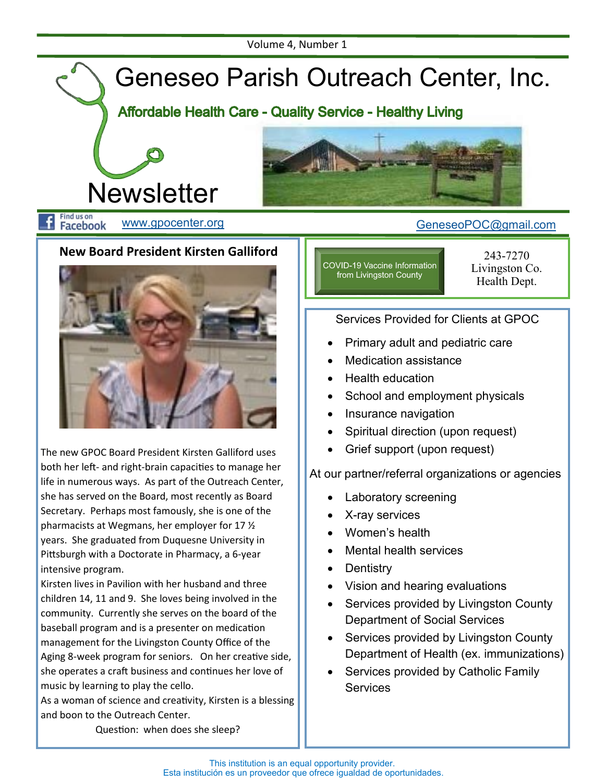

Facebook

#### **New Board President Kirsten Galliford**



The new GPOC Board President Kirsten Galliford uses both her left- and right-brain capacities to manage her life in numerous ways. As part of the Outreach Center, she has served on the Board, most recently as Board Secretary. Perhaps most famously, she is one of the pharmacists at Wegmans, her employer for 17 ½ years. She graduated from Duquesne University in Pittsburgh with a Doctorate in Pharmacy, a 6-year intensive program.

Kirsten lives in Pavilion with her husband and three children 14, 11 and 9. She loves being involved in the community. Currently she serves on the board of the baseball program and is a presenter on medication management for the Livingston County Office of the Aging 8-week program for seniors. On her creative side, she operates a craft business and continues her love of music by learning to play the cello.

As a woman of science and creativity, Kirsten is a blessing and boon to the Outreach Center.

COVID-19 Vaccine Information from Livingston County

243-7270 Livingston Co. Health Dept.

#### Services Provided for Clients at GPOC

- Primary adult and pediatric care
- Medication assistance
- Health education
- School and employment physicals
- Insurance navigation
- Spiritual direction (upon request)
- Grief support (upon request)

#### At our partner/referral organizations or agencies

- Laboratory screening
- X-ray services
- Women's health
- Mental health services
- Dentistry
- Vision and hearing evaluations
- Services provided by Livingston County Department of Social Services
- Services provided by Livingston County Department of Health (ex. immunizations)
- Services provided by Catholic Family **Services**

Question: when does she sleep?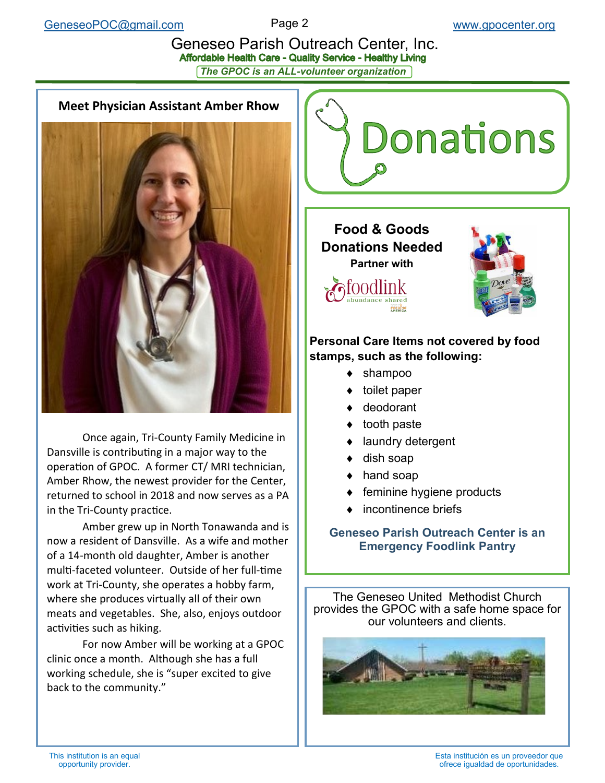# Geneseo Parish Outreach Center, Inc.<br>Affordable Health Care - Quality Service - Healthy Living *The GPOC is an ALL-volunteer organization*

#### **Meet Physician Assistant Amber Rhow**



Once again, Tri-County Family Medicine in Dansville is contributing in a major way to the operation of GPOC. A former CT/ MRI technician, Amber Rhow, the newest provider for the Center, returned to school in 2018 and now serves as a PA in the Tri-County practice.

Amber grew up in North Tonawanda and is now a resident of Dansville. As a wife and mother of a 14-month old daughter, Amber is another multi-faceted volunteer. Outside of her full-time work at Tri-County, she operates a hobby farm, where she produces virtually all of their own meats and vegetables. She, also, enjoys outdoor activities such as hiking.

For now Amber will be working at a GPOC clinic once a month. Although she has a full working schedule, she is "super excited to give back to the community."



#### **Personal Care Items not covered by food stamps, such as the following:**

- ◆ shampoo
- ◆ toilet paper
- ◆ deodorant
- ◆ tooth paste
- ◆ laundry detergent
- ◆ dish soap
- ◆ hand soap
- $\bullet$  feminine hygiene products
- incontinence briefs

#### **Geneseo Parish Outreach Center is an Emergency Foodlink Pantry**

The Geneseo United Methodist Church provides the GPOC with a safe home space for our volunteers and clients.

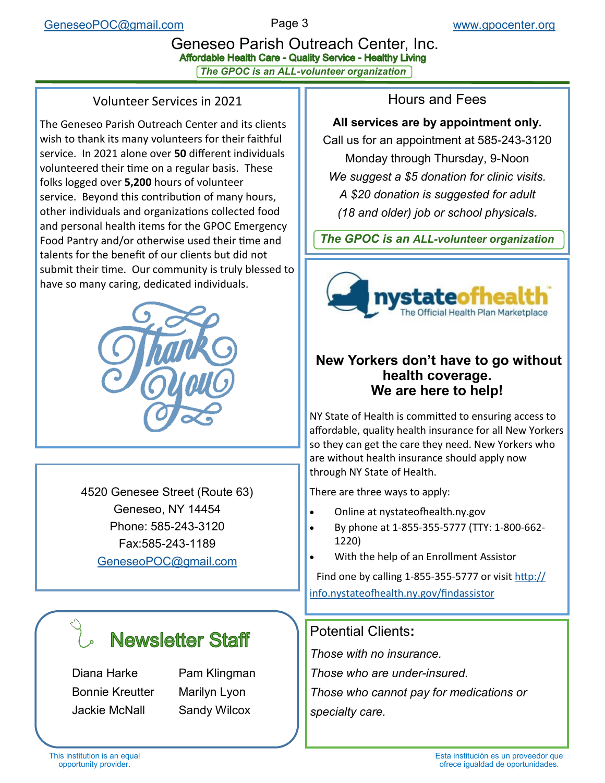# Geneseo Parish Outreach Center, Inc.<br>Affordable Health Care - Quality Service - Healthy Living *The GPOC is an ALL-volunteer organization*

#### Volunteer Services in 2021

The Geneseo Parish Outreach Center and its clients wish to thank its many volunteers for their faithful service. In 2021 alone over **50** different individuals volunteered their time on a regular basis. These folks logged over **5,200** hours of volunteer service. Beyond this contribution of many hours, other individuals and organizations collected food and personal health items for the GPOC Emergency Food Pantry and/or otherwise used their time and talents for the benefit of our clients but did not submit their time. Our community is truly blessed to have so many caring, dedicated individuals.



4520 Genesee Street (Route 63) Geneseo, NY 14454 Phone: 585-243-3120 Fax:585-243-1189 [GeneseoPOC@gmail.com](mailto:GeneseoPOC@gmail.com)

# **Newsletter Staff**

Diana Harke Pam Klingman Bonnie Kreutter Marilyn Lyon Jackie McNall Sandy Wilcox

Hours and Fees

#### **All services are by appointment only.**

Call us for an appointment at 585-243-3120 Monday through Thursday, 9-Noon *We suggest a \$5 donation for clinic visits. A \$20 donation is suggested for adult (18 and older) job or school physicals.* 

*The GPOC is an ALL-volunteer organization*



#### **New Yorkers don't have to go without health coverage. We are here to help!**

NY State of Health is committed to ensuring access to affordable, quality health insurance for all New Yorkers so they can get the care they need. New Yorkers who are without health insurance should apply now through NY State of Health.

There are three ways to apply:

- Online at nystateofhealth.ny.gov
- By phone at 1-855-355-5777 (TTY: 1-800-662- 1220)
- With the help of an Enrollment Assistor

Find one by calling 1-855-355-5777 or visit [http://](http://info.nystateofhealth.ny.gov/findassistor) [info.nystateofhealth.ny.gov/findassistor](http://info.nystateofhealth.ny.gov/findassistor)

### Potential Clients**:**

*Those with no insurance. Those who are under-insured. Those who cannot pay for medications or* 

*specialty care.*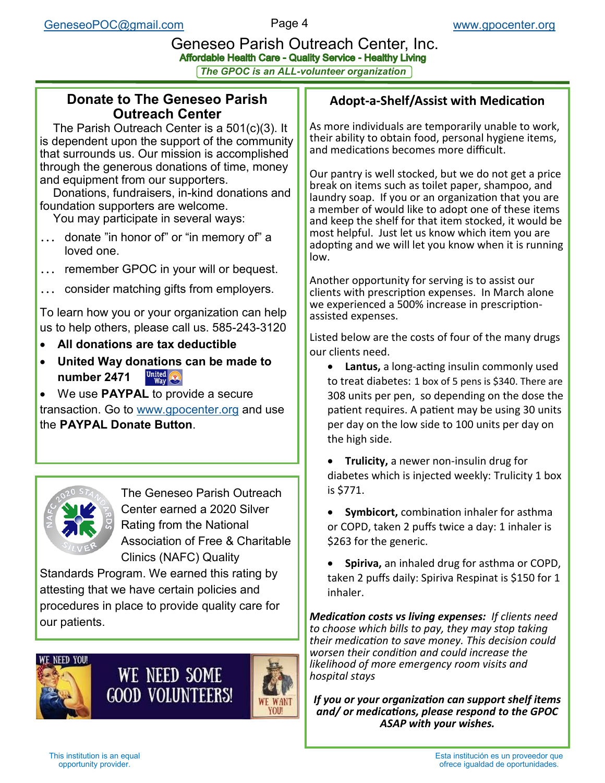# Geneseo Parish Outreach Center, Inc.<br>Affordable Health Care - Quality Service - Healthy Living

*The GPOC is an ALL-volunteer organization*

#### **Donate to The Geneseo Parish Outreach Center**

 The Parish Outreach Center is a 501(c)(3). It is dependent upon the support of the community that surrounds us. Our mission is accomplished through the generous donations of time, money and equipment from our supporters.

 Donations, fundraisers, in-kind donations and foundation supporters are welcome.

You may participate in several ways:

- ... donate "in honor of" or "in memory of" a loved one.
- ... remember GPOC in your will or bequest.
- consider matching gifts from employers.

To learn how you or your organization can help us to help others, please call us. 585-243-3120

- **All donations are tax deductible**
- **United Way donations can be made to number 2471**

• We use **PAYPAL** to provide a secure transaction. Go to [www.gpocenter.org](http://www.gpocenter.org) and use the **PAYPAL Donate Button**.



The Geneseo Parish Outreach Center earned a 2020 Silver Rating from the National Association of Free & Charitable Clinics (NAFC) Quality

Standards Program. We earned this rating by attesting that we have certain policies and procedures in place to provide quality care for our patients.

# WE NEED SOME **GOOD VOLUNTEERS!**



#### **Adopt-a-Shelf/Assist with Medication**

As more individuals are temporarily unable to work, their ability to obtain food, personal hygiene items, and medications becomes more difficult.

Our pantry is well stocked, but we do not get a price break on items such as toilet paper, shampoo, and laundry soap. If you or an organization that you are a member of would like to adopt one of these items and keep the shelf for that item stocked, it would be most helpful. Just let us know which item you are adopting and we will let you know when it is running low.

Another opportunity for serving is to assist our clients with prescription expenses. In March alone we experienced a 500% increase in prescriptionassisted expenses.

Listed below are the costs of four of the many drugs our clients need.

- **Lantus,** a long-acting insulin commonly used to treat diabetes: 1 box of 5 pens is \$340. There are 308 units per pen, so depending on the dose the patient requires. A patient may be using 30 units per day on the low side to 100 units per day on the high side.
- **Trulicity,** a newer non-insulin drug for diabetes which is injected weekly: Trulicity 1 box is \$771.
- **Symbicort,** combination inhaler for asthma or COPD, taken 2 puffs twice a day: 1 inhaler is \$263 for the generic.
- **Spiriva,** an inhaled drug for asthma or COPD, taken 2 puffs daily: Spiriva Respinat is \$150 for 1 inhaler.

*Medication costs vs living expenses: If clients need to choose which bills to pay, they may stop taking their medication to save money. This decision could worsen their condition and could increase the likelihood of more emergency room visits and hospital stays*

*If you or your organization can support shelf items and/ or medications, please respond to the GPOC ASAP with your wishes.*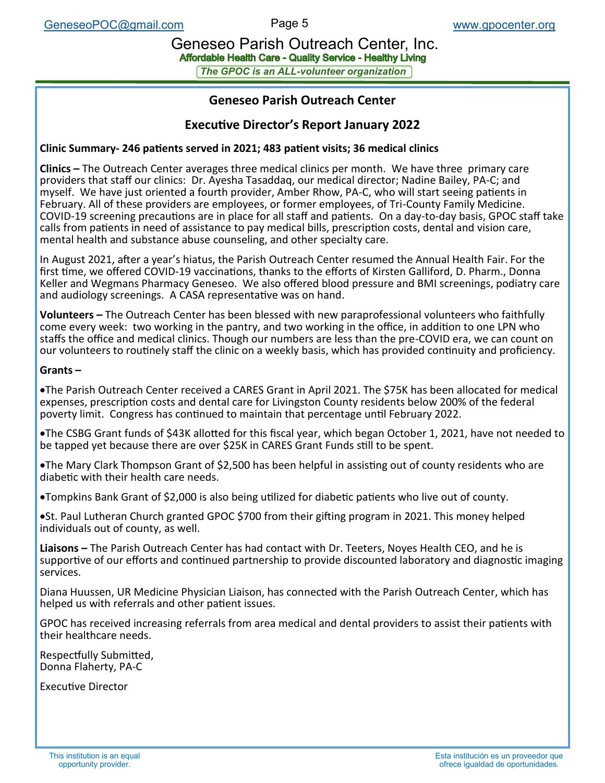Geneseo Parish Outreach Center, Inc.<br>Affordable Health Care - Quality Service - Healthy Living

*The GPOC is an ALL-volunteer organization*

#### **Geneseo Parish Outreach Center**

#### **Executive Director's Report January 2022**

#### **Clinic Summary- 246 patients served in 2021; 483 patient visits; 36 medical clinics**

**Clinics –** The Outreach Center averages three medical clinics per month. We have three primary care providers that staff our clinics: Dr. Ayesha Tasaddaq, our medical director; Nadine Bailey, PA-C; and myself. We have just oriented a fourth provider, Amber Rhow, PA-C, who will start seeing patients in February. All of these providers are employees, or former employees, of Tri-County Family Medicine. COVID-19 screening precautions are in place for all staff and patients. On a day-to-day basis, GPOC staff take calls from patients in need of assistance to pay medical bills, prescription costs, dental and vision care, mental health and substance abuse counseling, and other specialty care.

In August 2021, after a year's hiatus, the Parish Outreach Center resumed the Annual Health Fair. For the first time, we offered COVID-19 vaccinations, thanks to the efforts of Kirsten Galliford, D. Pharm., Donna Keller and Wegmans Pharmacy Geneseo. We also offered blood pressure and BMI screenings, podiatry care and audiology screenings. A CASA representative was on hand.

**Volunteers –** The Outreach Center has been blessed with new paraprofessional volunteers who faithfully come every week: two working in the pantry, and two working in the office, in addition to one LPN who staffs the office and medical clinics. Though our numbers are less than the pre-COVID era, we can count on our volunteers to routinely staff the clinic on a weekly basis, which has provided continuity and proficiency.

#### **Grants –**

•The Parish Outreach Center received a CARES Grant in April 2021. The \$75K has been allocated for medical expenses, prescription costs and dental care for Livingston County residents below 200% of the federal poverty limit. Congress has continued to maintain that percentage until February 2022.

•The CSBG Grant funds of \$43K allotted for this fiscal year, which began October 1, 2021, have not needed to be tapped yet because there are over \$25K in CARES Grant Funds still to be spent.

•The Mary Clark Thompson Grant of \$2,500 has been helpful in assisting out of county residents who are diabetic with their health care needs.

•Tompkins Bank Grant of \$2,000 is also being utilized for diabetic patients who live out of county.

•St. Paul Lutheran Church granted GPOC \$700 from their gifting program in 2021. This money helped individuals out of county, as well.

**Liaisons –** The Parish Outreach Center has had contact with Dr. Teeters, Noyes Health CEO, and he is supportive of our efforts and continued partnership to provide discounted laboratory and diagnostic imaging services.

Diana Huussen, UR Medicine Physician Liaison, has connected with the Parish Outreach Center, which has helped us with referrals and other patient issues.

GPOC has received increasing referrals from area medical and dental providers to assist their patients with their healthcare needs.

Respectfully Submitted, Donna Flaherty, PA-C

Executive Director